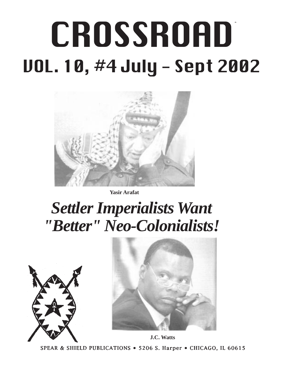# $\sim$  -  $\sim$  -  $\sim$  -  $\sim$  -  $\sim$   $\sim$ CROSSROAD VOL. 10, #4 July - Sept 2002



**Yasir Arafat**

## *Settler Imperialists Want "Better" Neo-Colonialists!*





SPEAR & SHIELD PUBLICATIONS • 5206 S. Harper • CHICAGO, IL 60615 **J.C. Watts**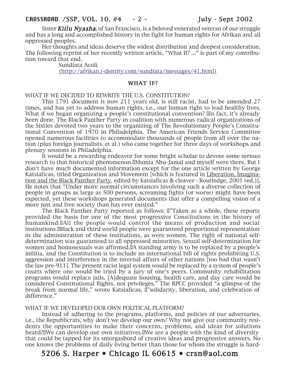Sister **Kiilu Nyasha**, of San Francisco, is a beloved venerated veteran of our struggle and has a long and accomplished history in the fight for human rights for Afrikan and all oppressed peoples.

Her thoughts and ideas deserve the widest distribution and deepest consideration. The following reprint of her recently written article, "What If? ..." is part of my contribution toward that end.

Sundiata Acoli (http://afrikan.i-dentity.com/sundiata/messages/41.html)

#### WHAT IF?

#### WHAT IF WE DECIDED TO REWRITE THE U.S. CONSTITUTION?

This 1791 document is now 211 years old, is still racist, had to be amended 27 times, and has yet to address human rights, i.e., our human right to lead healthy lives. What if we began organizing a people's constitutional convention? In fact, it's already been done. The Black Panther Party in coalition with numerous radical organizations of the Sixties devoted two years to the organizing of The Revolutionary People's Constitutional Convention of 1970 in Philadelphia. The American Friends Service Committee opened numerous facilities to accommodate thousands of people from all over the nation (plus foreign journalists, et al.) who came together for three days of workshops and plenary sessions in Philadelphia.

It would be a rewarding endeavor for some bright scholar to devote some serious research to that historical phenomenon. I Mumia Abu-Jamal and myself were there. But I don't have much documented information except for the one article written by George Katsiaficas, titled Organization and Movement [which is featured in Liberation, Imagination and the Black Panther Party, edited by katsiaficas & cleaver - Routledge, 2001 (ed.)], He notes that "Under more normal circumstances involving such a diverse collection of people in groups as large as 500 persons, screaming fights (or worse) might have been expected, yet these workshops generated documents that offer a compelling vision of a more just and free society than has ever existed."

The Black Panther Party reported as follows: I'Taken as a whole, these reports provided the basis for one of the most progressive Constitutions in the history of humankind. [All the people would control the means of production and social institutions.␣ Black and third world people were guaranteed proportional representation in the administration of these institutions, as were women. The right of national selfdetermination was guaranteed to all oppressed minorities. Sexual self-determination for women and homosexuals was affirmed. IA standing army is to be replaced by a people's militia, and the Constitution is to include an international bill of rights prohibiting U.S. aggression and interference in the internal affairs of other nations [too bad that wasn't the law pre-911]. The present racist legal system would be replaced by a system of people's courts where one would be tried by a jury of one's peers. Community rehabilitation programs would replace jails. [A]dequate housing, health care, and day care would be considered Constitutional Rights, not privileges." The RPCC provided "a glimpse of the break from *normal* life," wrote Katsiaficas, D"solidarity, liberation, and celebration of difference."

#### WHAT IF WE DEVELOPED OUR OWN POLITICAL PLATFORM?

Instead of adhering to the programs, platforms, and policies of our adversaries, i.e., the Republicrats, why don't we develop our own? Why not give our community residents the opportunities to make their concerns, problems, and ideas for solutions heard? I We can develop our own initiatives. I We are a people with the kind of diversity that could be tapped for its smorgasbord of creative ideas and progressive answers. No one knows the problems of daily living better than those for whom the struggle is hard-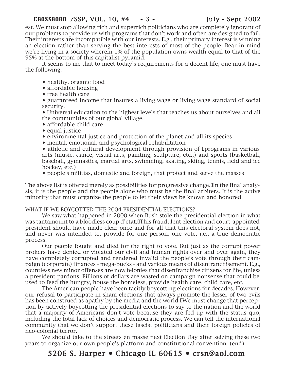est. We must stop allowing rich and superrich politicians who are completely ignorant of our problems to provide us with programs that don't work and often are designed to fail. Their interests are incompatible with our interests. E.g., their primary interest is winning an election rather than serving the best interests of most of the people. Bear in mind we're living in a society wherein 1% of the population owns wealth equal to that of the 95% at the bottom of this capitalist pyramid.

It seems to me that to meet today's requirements for a decent life, one must have the following:

- healthy, organic food
- affordable housing
- free health care

• guaranteed income that insures a living wage or living wage standard of social security.

• Universal education to the highest levels that teaches us about ourselves and all the communities of our global village.

- affordable child care
- equal justice
- environmental justice and protection of the planet and all its species
- mental, emotional, and psychological rehabilitation

• athletic and cultural development through provision of Iprograms in various arts (music, dance, visual arts, painting, sculpture, etc.;) and sports (basketball, baseball, gymnastics, martial arts, swimming, skating, skiing, tennis, field and ice hockey, etc.)

• people's militias, domestic and foreign, that protect and serve the masses

The above list is offered merely as possibilities for progressive change. In the final analysis, it is the people and the people alone who must be the final arbiters. It is the active minority that must organize the people to let their views be known and honored.

#### WHAT IF WE BOYCOTTED THE 2004 PRESIDENTIAL ELECTIONS?

We saw what happened in 2000 when Bush stole the presidential election in what was tantamount to a bloodless coup d'etat.IThis fraudulent election and court-appointed president should have made clear once and for all that this electoral system does not, and never was intended to, provide for one person, one vote, i.e., a true democratic process.

Our people fought and died for the right to vote. But just as the corrupt power brokers have denied or violated our civil and human rights over and over again, they have completely corrupted and rendered invalid the people's vote through their campaign (corporate) finances - mega-bucks - and various means of disenfranchisement. E.g., countless new minor offenses are now felonies that disenfranchise citizens for life, unless a president pardons. Billions of dollars are wasted on campaign nonsense that could be used to feed the hungry, house the homeless, provide health care, child care, etc.

The American people have been tacitly boycotting elections for decades. However, our refusal to participate in sham elections that always promote the lesser of two evils has been construed as apathy by the media and the world. I We must change that perception by actively boycotting the presidential elections to say to the nation and the world that a majority of Americans don't vote because they are fed up with the status quo, including the total lack of choices and democratic process. We can tell the international community that we don't support these fascist politicians and their foreign policies of neo-colonial terror.

We should take to the streets en masse next Election Day after seizing these two years to organize our own people's platform and constitutional convention. (end)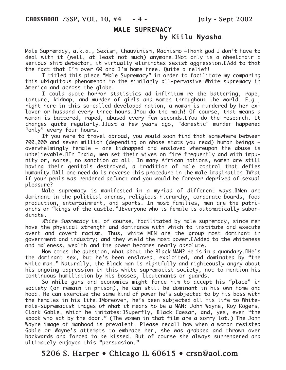#### MALE SUPREMACY

#### by Kiilu Nyasha

Male Supremacy, a.k.a., Sexism, Chauvinism, Machismo —Thank god I don't have to deal with it (well, at least not much) anymore. INot only is a wheelchair a serious shit detector, it virtually eliminates sexist aggression.ΩAdd to that the fact that I'm over 60 and I'm home free. Quite a relief!

I titled this piece "Male Supremacy" in order to facilitate my comparing this ubiquitous phenomenon to the similarly all-pervasive White supremacy in America and across the globe.

I could quote horror statistics ad infinitum re the battering, rape, torture, kidnap, and murder of girls and women throughout the world. E.g., right here in this so-called developed nation, a woman is murdered by her exlover or husband every three hours. IYou do the math! Of course, that means a woman is battered, raped, abused every few seconds. IYou do the research. It changes quite regularly.DJust a few years ago, "domestic" murder happened "only" every four hours.

If you were to travel abroad, you would soon find that somewhere between 700,000 and seven million (depending on whose stats you read) human beings overwhelmingly female — are kidnapped and enslaved whereupon the abuse is unbelievable. IIn India, men set their wives on fire frequently and with impunity or, worse, no sanction at all. In many African nations, women are still having their genitals destroyed, a tradition of male control that defies humanity.DAll one need do is reverse this procedure in the male imagination.DWhat if your penis was rendered defunct and you would be forever deprived of sexual pleasure?

Male supremacy is manifested in a myriad of different ways.IMen are dominant in the political arenas, religious hierarchy, corporate boards, food production, entertainment, and sports. In most families, men are the patriarchs or "kings of the castle."␣ Everyone who is female is automatically subordinate.

White Supremacy is, of course, facilitated by male supremacy, since men have the physical strength and dominance with which to institute and execute overt and covert racism. Thus, white MEN are the group most dominant in government and industry; and they wield the most power. IAdded to the whiteness and maleness, wealth and the power becomes nearly absolute.

Now comes the question, what about the Black MAN? He is in a quandary. IHe's the dominant sex, but he's been enslaved, exploited, and dominated by "the white man." Naturally, the Black man is rightfully and righteously angry about his ongoing oppression in this white supremacist society, not to mention his continuous humiliation by his bosses, lieutenants or guards.

So while guns and economics might force him to accept his "place" in society (or remain in prison), he can still be dominant in his own home and hood. He can exercise the same kind of power he's subjected to by his boss with the females in his life.
Under ever, he's been subjected all his life to Whitemale-supremacist images of what it means to be a MAN: John Wayne, Roy Rogers, Clark Gable, which he imitates:␣ Superfly, Black Caesar, and, yes, even "the spook who sat by the door." (The women in that film are a sorry lot.) The John Wayne image of manhood is prevalent. Please recall how when a woman resisted Gable or Wayne's attempts to embrace her, she was grabbed and thrown over backwards and forced to be kissed. But of course she always surrendered and ultimately enjoyed this "persuasion."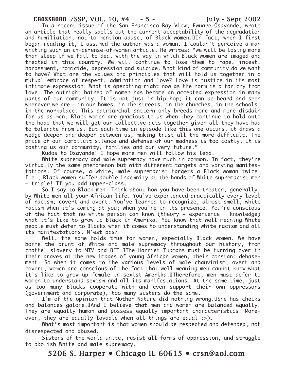In a recent issue of the San Francisco Bay View, Ewuare Osayande, wrote an article that really spells out the current acceptability of the degradation and humiliation, not to mention abuse, of Black women.IIn fact, when I first began reading it, I assumed the author was a woman. I couldn't perceive a man writing such an in-defense-of-women article. He writes: "we will be losing more than sleep if we fail to deal with the way in which Black women are imaged and treated in this country. We will continue to lose them to rape, incest, harassment, homicide, depression and suicide. What kind of community do we want to have? What are the values and principles that will hold us together in a mutual embrace of respect, admiration and love? Love is justice in its most intimate expression. What is operating right now as the norm is a far cry from love. The outright hatred of women has become an accepted expression in many parts of our community. It is not just in hip hop; it can be heard and seen wherever we are — in our homes, in the streets, in the churches, in the schools, in the workplace. This patriarchal pattern only breeds more and more disdain for us as men. Black women are gracious to us when they continue to hold onto the hope that we will get our collective acts together given all they have had to tolerate from us. But each time an episode like this one occurs, it draws a wedge deeper and deeper between us, making trust all the more difficult. The price of our complicit silence and defense of our madness is too costly. It is costing us our community, families and our very future."

Kudos to Osayande! I hope more men will follow his lead.

White supremacy and male supremacy have much in common. In fact, they're virtually the same phenomenon but with different targets and varying manifestations. Of course, a white, male supremacist targets a Black woman twice. I.e., Black women suffer double indemnity at the hands of White supremacist men — triple! If you add upper-class.

So I say to Black men: Think about how you have been treated, generally, by White men all your African life. You've experienced practically every level of racism, covert and overt. You've learned to recognize, almost smell, white racism when it's coming at you; when you're in its presence. You're conscious of the fact that no white person can know (theory + experience = knowledge) what it's like to grow up Black in Amerika. You know that well meaning White people must defer to Blacks when it comes to understanding white racism and all its manifestations. N'est pas?

Well, the same holds true for women, especially Black women. We have borne the brunt of White and male supremacy throughout our history, from chattel slavery to MTV and BET.␣ The Harriet Tubmans must be turning over in their graves at the new images of young African women, their constant debasement. So when it comes to the various levels of male chauvinism, overt and covert, women are conscious of the fact that well meaning men cannot know what it's like to grow up female in sexist Amerika. ITherefore, men must defer to women to understand sexism and all its manifestations. At the same time, just as too many Blacks cooperate with and even support their own oppressors (government and corporate), too many sisters do the same.

I'm of the opinion that Mother Nature did nothing wrong. UShe has checks and balances galore.DAnd I believe that men and women are balanced equally. They are equally human and possess equally important characteristics. Moreover, they are equally lovable when all things are equal :>).

What's most important is that women should be respected and defended, not disrespected and abused.

Sisters of the world unite, resist all forms of oppression, and struggle to abolish White and male supremacy.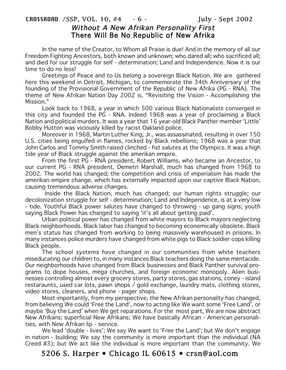#### CROSSROAD /SSP, VOL. 10, #4 - 6 - July - Sept 2002 Without A New Afrikan Personality First There Will Be No Republic of New Afrika

In the name of the Creator, to Whom all Praise is due! And in the memory of all our Freedom Fighting Ancestors, both known and unknown; who dared all; who sacrificed all; and died for our struggle for self - determination; Land and Independence. Now it is our time to do no less!

Greetings of Peace and to Us belong a sovereign Black Nation. We are gathered here this weekend in Detroit, Michigan, to commemorate the 34th Anniversary of the founding of the Provisional Government of the Republic of New Afrika (PG - RNA). The theme of New Afrikan Nation Day 2002 is, "Revisiting the Vision - Accomplishing the Mission."

Look back to 1968, a year in which 500 various Black Nationalists converged in this city and founded the PG - RNA. Indeed 1968 was a year of proclaiming a Black Nation and political murders. It was a year that 16 year-old Black Panther member 'Little' Bobby Hutton was viciously killed by racist Oakland police.

Moreover in 1968, Martin Luther King, Jr., was assassinated, resulting in over 150 U.S. cities being engulfed in flames, rocked by Black rebellions; 1968 was a year that John Carlos and Tommy Smith raised clinched - fist salutes at the Olympics. It was a high tide year of Black struggle against the amerikan empire.

From the first PG - RNA president, Robert Williams, who became an Ancestor, to our current PG - RNA president, Demetri Marshall, much has changed from 1968 to 2002. The world has changed; the competition and crisis of imperialism has made the amerikan empire change, which has externally impacted upon our captive Black Nation, causing tremendous adverse changes.

 Inside the Black Nation, much has changed; our human rights struggle; our decolonization struggle for self - determination; Land and Independence, is at a very low - tide. Youthful Black power salutes have changed to throwing - up gang signs; youth saying Black Power has changed to saying 'it's all about getting paid'.

Urban political power has changed from white mayors to Black mayors neglecting Black neighborhoods. Black labor has changed to becoming economically obsolete. Black men's status has changed from working to being massively warehoused in prisons. In many instances police murders have changed from white pigs to Black soldier cops killing Black people.

The school systems have changed in our communities from white teachers miseducating our children to, in many instances Black teachers doing the same mentacide. Our neighborhoods have changed from Black businesses and Black Panther survival programs to dope houses, mega churches, and foreign economic monopoly. Alien businesses controlling almost every grocery stores, party stores, gas stations, coney - island restaraunts, used car lots, pawn shops / gold exchange, laundry mats, clothing stores, video stores, cleaners, and phone - pager shops.

Most importantly, from my perspective, the New Afrikan personality has changed, from believing We could 'Free the Land', now to acting like We want some 'Free Land', or maybe 'Buy the Land' when We get reparations. For the most part, We are now abstract New Afrikans; superficial New Afrikans; We have basically African - American personalities, with New Afrikan lip - service.

We lead 'double - lives'; We say We want to 'Free the Land'; but We don't engage in nation - building; We say the community is more important than the individual (NA Creed #3); but We act like the individual is more important than the community. We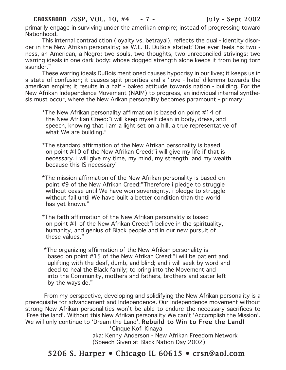primarily engage in surviving under the amerikan empire; instead of progressing toward Nationhood.

This internal contradiction (loyalty vs. betrayal), reflects the dual - identity disorder in the New Afrikan personality; as W.E. B. DuBois stated:"One ever feels his two ness, an American, a Negro; two souls, two thoughts, two unreconciled strivings; two warring ideals in one dark body; whose dogged strength alone keeps it from being torn asunder."

These warring ideals DuBois mentioned causes hypocrisy in our lives; it keeps us in a state of confusion; it causes split priorities and a 'love - hate' dilemma towards the amerikan empire; it results in a half - baked attitude towards nation - building. For the New Afrikan Independence Movement (NAIM) to progress, an individual internal synthesis must occur, where the New Arikan personality becomes paramount - primary:

- \*The New Afrikan personality affirmation is based on point #14 of the New Afrikan Creed:"i will keep myself clean in body, dress, and speech, knowing that i am a light set on a hill, a true representative of what We are building."
- \*The standard affirmation of the New Afrikan personality is based on point #10 of the New Afrikan Creed:"i will give my life if that is necessary. i will give my time, my mind, my strength, and my wealth because this IS necessary"
- \*The mission affirmation of the New Afrikan personality is based on point #9 of the New Afrikan Creed:"Therefore i pledge to struggle without cease until We have won sovereignty. i pledge to struggle without fail until We have built a better condition than the world has yet known."
- \*The faith affirmation of the New Afrikan personality is based on point #1 of the New Afrikan Creed:"i believe in the spirituality, humanity, and genius of Black people and in our new pursuit of these values."
- \*The organizing affirmation of the New Afrikan personality is based on point #15 of the New Afrikan Creed:"i will be patient and uplifting with the deaf, dumb, and blind; and i will seek by word and deed to heal the Black family; to bring into the Movement and into the Community, mothers and fathers, brothers and sister left by the wayside."

 From my perspective, developing and solidifying the New Afrikan personality is a prerequisite for advancement and Independence. Our Independence movement without strong New Afrikan personalities won't be able to endure the necessary sacrifices to 'Free the land'. Without this New Afrikan personality We can't 'Accomplish the Mission'. We will only continue to 'Dream the Land'. Rebuild to Win to Free the Land! \*Cinque Kofi Kinaya

aka: Kenny Anderson - New Afrikan Freedom Network (Speech Given at Black Nation Day 2002)